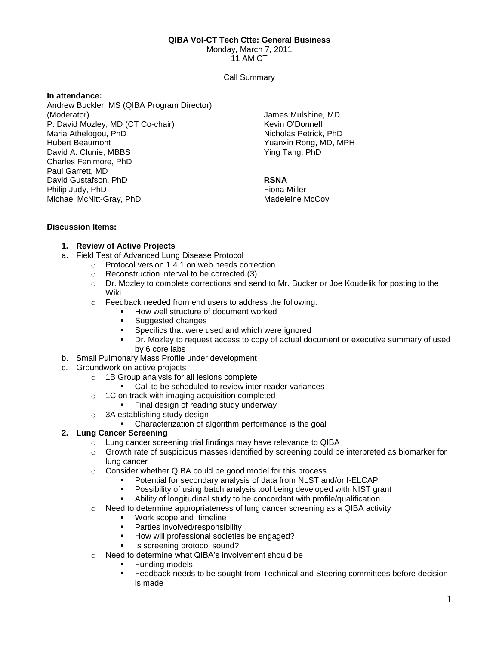#### **QIBA Vol-CT Tech Ctte: General Business**

Monday, March 7, 2011

11 AM CT

#### Call Summary

#### **In attendance:**

Andrew Buckler, MS (QIBA Program Director) (Moderator) P. David Mozley, MD (CT Co-chair) Maria Athelogou, PhD Hubert Beaumont David A. Clunie, MBBS Charles Fenimore, PhD Paul Garrett, MD David Gustafson, PhD Philip Judy, PhD Michael McNitt-Gray, PhD

James Mulshine, MD Kevin O'Donnell Nicholas Petrick, PhD Yuanxin Rong, MD, MPH Ying Tang, PhD

## **RSNA**

Fiona Miller Madeleine McCoy

## **Discussion Items:**

# **1. Review of Active Projects**

- a. Field Test of Advanced Lung Disease Protocol
	- o Protocol version 1.4.1 on web needs correction
		- o Reconstruction interval to be corrected (3)
		- o Dr. Mozley to complete corrections and send to Mr. Bucker or Joe Koudelik for posting to the Wiki
		- o Feedback needed from end users to address the following:
			- **How well structure of document worked**
			- Suggested changes
			- **Specifics that were used and which were ignored**
			- Dr. Mozley to request access to copy of actual document or executive summary of used by 6 core labs
- b. Small Pulmonary Mass Profile under development
- c. Groundwork on active projects
	- o 1B Group analysis for all lesions complete
		- Call to be scheduled to review inter reader variances
	- $\circ$  1C on track with imaging acquisition completed
		- **Final design of reading study underway**
	- o 3A establishing study design
		- Characterization of algorithm performance is the goal

## **2. Lung Cancer Screening**

- o Lung cancer screening trial findings may have relevance to QIBA
- o Growth rate of suspicious masses identified by screening could be interpreted as biomarker for lung cancer
- o Consider whether QIBA could be good model for this process
	- Potential for secondary analysis of data from NLST and/or I-ELCAP
	- Possibility of using batch analysis tool being developed with NIST grant
	- Ability of longitudinal study to be concordant with profile/qualification
- $\circ$  Need to determine appropriateness of lung cancer screening as a QIBA activity
	- Work scope and timeline<br>■ Parties involved/responsib
		- Parties involved/responsibility
		- How will professional societies be engaged?
		- Is screening protocol sound?
- o Need to determine what QIBA's involvement should be
	- **Funding models**
	- Feedback needs to be sought from Technical and Steering committees before decision is made